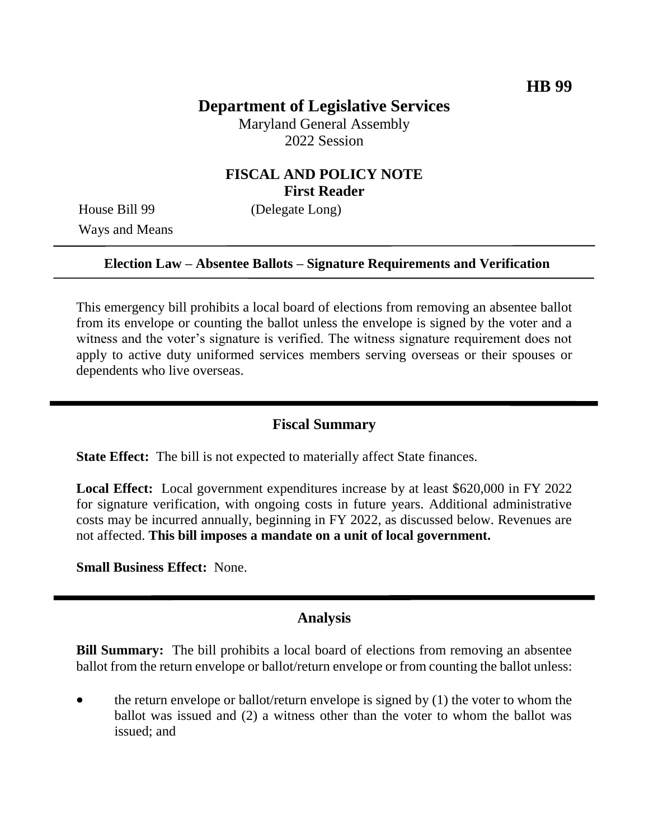# **Department of Legislative Services**

Maryland General Assembly 2022 Session

# **FISCAL AND POLICY NOTE First Reader**

Ways and Means

House Bill 99 (Delegate Long)

#### **Election Law – Absentee Ballots – Signature Requirements and Verification**

This emergency bill prohibits a local board of elections from removing an absentee ballot from its envelope or counting the ballot unless the envelope is signed by the voter and a witness and the voter's signature is verified. The witness signature requirement does not apply to active duty uniformed services members serving overseas or their spouses or dependents who live overseas.

### **Fiscal Summary**

**State Effect:** The bill is not expected to materially affect State finances.

**Local Effect:** Local government expenditures increase by at least \$620,000 in FY 2022 for signature verification, with ongoing costs in future years. Additional administrative costs may be incurred annually, beginning in FY 2022, as discussed below. Revenues are not affected. **This bill imposes a mandate on a unit of local government.**

**Small Business Effect:** None.

#### **Analysis**

**Bill Summary:** The bill prohibits a local board of elections from removing an absentee ballot from the return envelope or ballot/return envelope or from counting the ballot unless:

 the return envelope or ballot/return envelope is signed by (1) the voter to whom the ballot was issued and (2) a witness other than the voter to whom the ballot was issued; and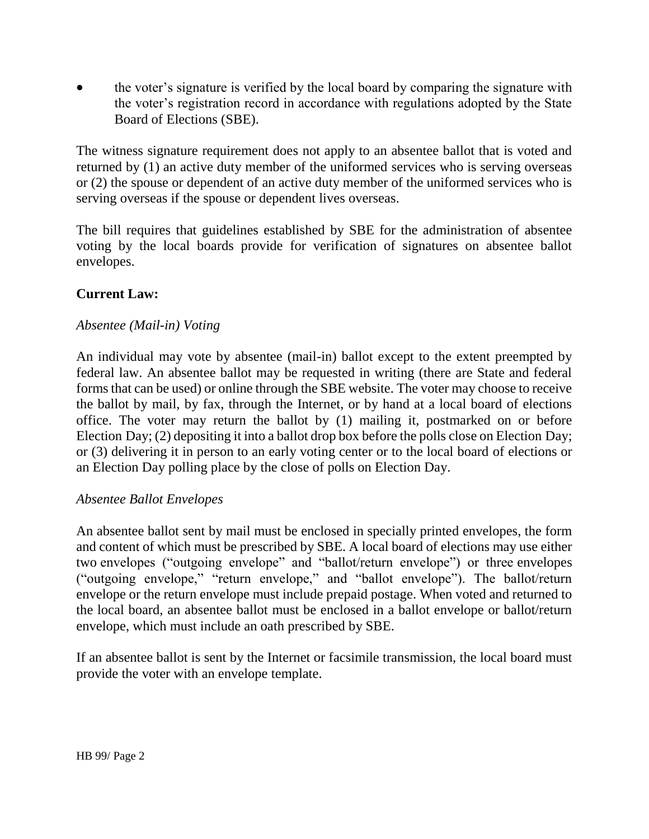the voter's signature is verified by the local board by comparing the signature with the voter's registration record in accordance with regulations adopted by the State Board of Elections (SBE).

The witness signature requirement does not apply to an absentee ballot that is voted and returned by (1) an active duty member of the uniformed services who is serving overseas or (2) the spouse or dependent of an active duty member of the uniformed services who is serving overseas if the spouse or dependent lives overseas.

The bill requires that guidelines established by SBE for the administration of absentee voting by the local boards provide for verification of signatures on absentee ballot envelopes.

### **Current Law:**

#### *Absentee (Mail-in) Voting*

An individual may vote by absentee (mail-in) ballot except to the extent preempted by federal law. An absentee ballot may be requested in writing (there are State and federal forms that can be used) or online through the SBE website. The voter may choose to receive the ballot by mail, by fax, through the Internet, or by hand at a local board of elections office. The voter may return the ballot by (1) mailing it, postmarked on or before Election Day; (2) depositing it into a ballot drop box before the polls close on Election Day; or (3) delivering it in person to an early voting center or to the local board of elections or an Election Day polling place by the close of polls on Election Day.

#### *Absentee Ballot Envelopes*

An absentee ballot sent by mail must be enclosed in specially printed envelopes, the form and content of which must be prescribed by SBE. A local board of elections may use either two envelopes ("outgoing envelope" and "ballot/return envelope") or three envelopes ("outgoing envelope," "return envelope," and "ballot envelope"). The ballot/return envelope or the return envelope must include prepaid postage. When voted and returned to the local board, an absentee ballot must be enclosed in a ballot envelope or ballot/return envelope, which must include an oath prescribed by SBE.

If an absentee ballot is sent by the Internet or facsimile transmission, the local board must provide the voter with an envelope template.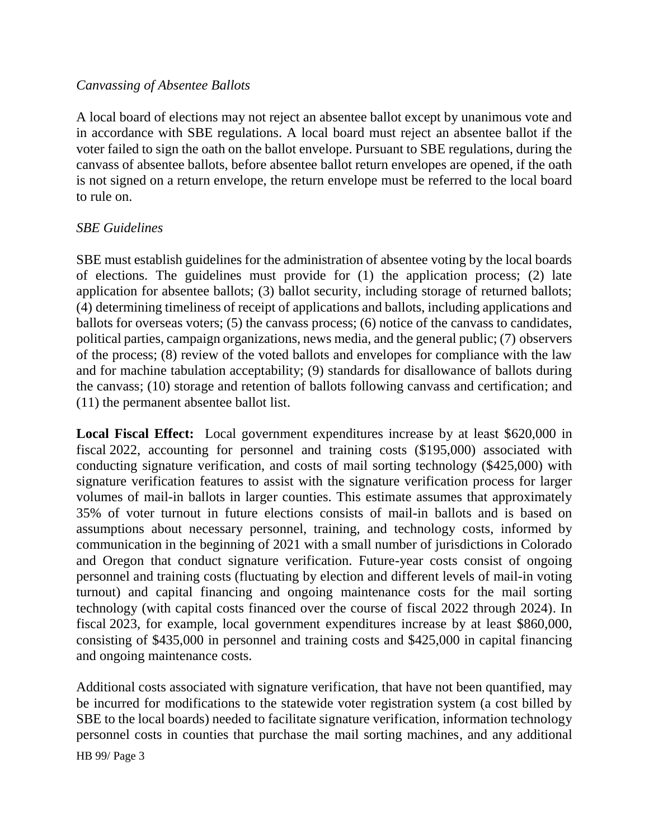### *Canvassing of Absentee Ballots*

A local board of elections may not reject an absentee ballot except by unanimous vote and in accordance with SBE regulations. A local board must reject an absentee ballot if the voter failed to sign the oath on the ballot envelope. Pursuant to SBE regulations, during the canvass of absentee ballots, before absentee ballot return envelopes are opened, if the oath is not signed on a return envelope, the return envelope must be referred to the local board to rule on.

#### *SBE Guidelines*

SBE must establish guidelines for the administration of absentee voting by the local boards of elections. The guidelines must provide for (1) the application process; (2) late application for absentee ballots; (3) ballot security, including storage of returned ballots; (4) determining timeliness of receipt of applications and ballots, including applications and ballots for overseas voters; (5) the canvass process; (6) notice of the canvass to candidates, political parties, campaign organizations, news media, and the general public; (7) observers of the process; (8) review of the voted ballots and envelopes for compliance with the law and for machine tabulation acceptability; (9) standards for disallowance of ballots during the canvass; (10) storage and retention of ballots following canvass and certification; and (11) the permanent absentee ballot list.

**Local Fiscal Effect:** Local government expenditures increase by at least \$620,000 in fiscal 2022, accounting for personnel and training costs (\$195,000) associated with conducting signature verification, and costs of mail sorting technology (\$425,000) with signature verification features to assist with the signature verification process for larger volumes of mail-in ballots in larger counties. This estimate assumes that approximately 35% of voter turnout in future elections consists of mail-in ballots and is based on assumptions about necessary personnel, training, and technology costs, informed by communication in the beginning of 2021 with a small number of jurisdictions in Colorado and Oregon that conduct signature verification. Future-year costs consist of ongoing personnel and training costs (fluctuating by election and different levels of mail-in voting turnout) and capital financing and ongoing maintenance costs for the mail sorting technology (with capital costs financed over the course of fiscal 2022 through 2024). In fiscal 2023, for example, local government expenditures increase by at least \$860,000, consisting of \$435,000 in personnel and training costs and \$425,000 in capital financing and ongoing maintenance costs.

Additional costs associated with signature verification, that have not been quantified, may be incurred for modifications to the statewide voter registration system (a cost billed by SBE to the local boards) needed to facilitate signature verification, information technology personnel costs in counties that purchase the mail sorting machines, and any additional